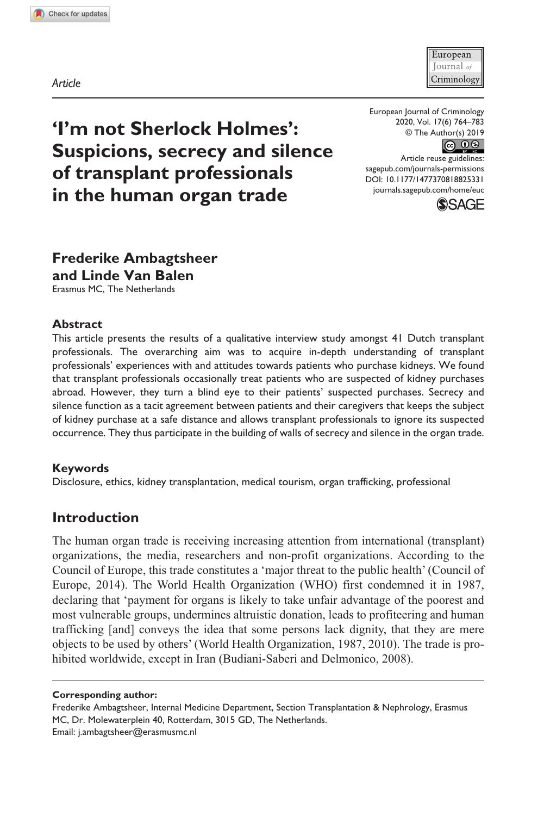**8253[31](http://crossmark.crossref.org/dialog/?doi=10.1177%2F1477370818825331&domain=pdf&date_stamp=2019-01-18)**EUC0010.1177/1477370818825331European Journal of Criminology**Ambagtsheer and Van Balen**

*Article*



European Journal of Criminology 2020, Vol. 17(6) 764–783 © The Author(s) 2019



DOI: 10.1177/1477370818825331 Article reuse guidelines: [sagepub.com/journals-permissions](https://uk.sagepub.com/en-gb/journals-permissions) [journals.sagepub.com/home/euc](https://journals.sagepub.com/home/euc)



# **Frederike Ambagtsheer and Linde Van Balen**

**'I'm not Sherlock Holmes':** 

**of transplant professionals in the human organ trade**

**Suspicions, secrecy and silence** 

Erasmus MC, The Netherlands

#### **Abstract**

This article presents the results of a qualitative interview study amongst 41 Dutch transplant professionals. The overarching aim was to acquire in-depth understanding of transplant professionals' experiences with and attitudes towards patients who purchase kidneys. We found that transplant professionals occasionally treat patients who are suspected of kidney purchases abroad. However, they turn a blind eye to their patients' suspected purchases. Secrecy and silence function as a tacit agreement between patients and their caregivers that keeps the subject of kidney purchase at a safe distance and allows transplant professionals to ignore its suspected occurrence. They thus participate in the building of walls of secrecy and silence in the organ trade.

#### **Keywords**

Disclosure, ethics, kidney transplantation, medical tourism, organ trafficking, professional

## **Introduction**

The human organ trade is receiving increasing attention from international (transplant) organizations, the media, researchers and non-profit organizations. According to the Council of Europe, this trade constitutes a 'major threat to the public health' (Council of Europe, 2014). The World Health Organization (WHO) first condemned it in 1987, declaring that 'payment for organs is likely to take unfair advantage of the poorest and most vulnerable groups, undermines altruistic donation, leads to profiteering and human trafficking [and] conveys the idea that some persons lack dignity, that they are mere objects to be used by others' (World Health Organization, 1987, 2010). The trade is prohibited worldwide, except in Iran (Budiani-Saberi and Delmonico, 2008).

**Corresponding author:**

Frederike Ambagtsheer, Internal Medicine Department, Section Transplantation & Nephrology, Erasmus MC, Dr. Molewaterplein 40, Rotterdam, 3015 GD, The Netherlands. Email: [j.ambagtsheer@erasmusmc.nl](mailto:j.ambagtsheer@erasmusmc.nl)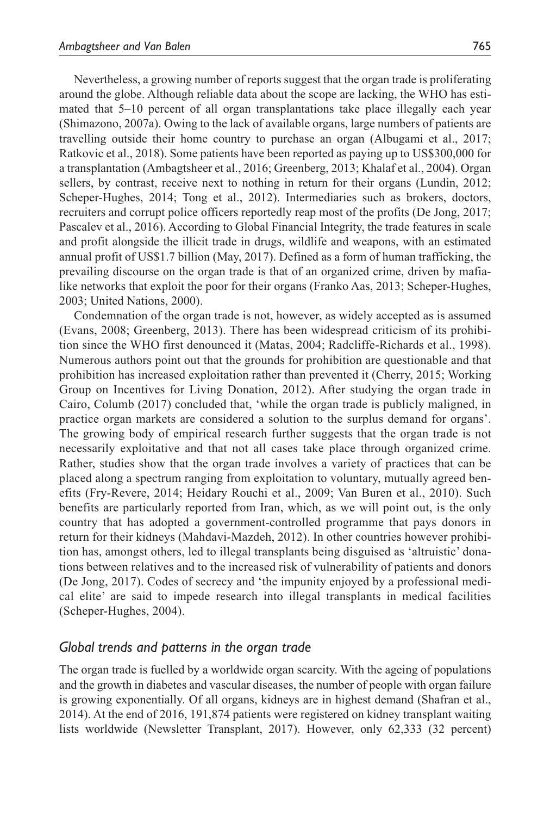Nevertheless, a growing number of reports suggest that the organ trade is proliferating around the globe. Although reliable data about the scope are lacking, the WHO has estimated that 5–10 percent of all organ transplantations take place illegally each year (Shimazono, 2007a). Owing to the lack of available organs, large numbers of patients are travelling outside their home country to purchase an organ (Albugami et al., 2017; Ratkovic et al., 2018). Some patients have been reported as paying up to US\$300,000 for a transplantation (Ambagtsheer et al., 2016; Greenberg, 2013; Khalaf et al., 2004). Organ sellers, by contrast, receive next to nothing in return for their organs (Lundin, 2012; Scheper-Hughes, 2014; Tong et al., 2012). Intermediaries such as brokers, doctors, recruiters and corrupt police officers reportedly reap most of the profits (De Jong, 2017; Pascalev et al., 2016). According to Global Financial Integrity, the trade features in scale and profit alongside the illicit trade in drugs, wildlife and weapons, with an estimated annual profit of US\$1.7 billion (May, 2017). Defined as a form of human trafficking, the prevailing discourse on the organ trade is that of an organized crime, driven by mafialike networks that exploit the poor for their organs (Franko Aas, 2013; Scheper-Hughes, 2003; United Nations, 2000).

Condemnation of the organ trade is not, however, as widely accepted as is assumed (Evans, 2008; Greenberg, 2013). There has been widespread criticism of its prohibition since the WHO first denounced it (Matas, 2004; Radcliffe-Richards et al., 1998). Numerous authors point out that the grounds for prohibition are questionable and that prohibition has increased exploitation rather than prevented it (Cherry, 2015; Working Group on Incentives for Living Donation, 2012). After studying the organ trade in Cairo, Columb (2017) concluded that, 'while the organ trade is publicly maligned, in practice organ markets are considered a solution to the surplus demand for organs'. The growing body of empirical research further suggests that the organ trade is not necessarily exploitative and that not all cases take place through organized crime. Rather, studies show that the organ trade involves a variety of practices that can be placed along a spectrum ranging from exploitation to voluntary, mutually agreed benefits (Fry-Revere, 2014; Heidary Rouchi et al., 2009; Van Buren et al., 2010). Such benefits are particularly reported from Iran, which, as we will point out, is the only country that has adopted a government-controlled programme that pays donors in return for their kidneys (Mahdavi-Mazdeh, 2012). In other countries however prohibition has, amongst others, led to illegal transplants being disguised as 'altruistic' donations between relatives and to the increased risk of vulnerability of patients and donors (De Jong, 2017). Codes of secrecy and 'the impunity enjoyed by a professional medical elite' are said to impede research into illegal transplants in medical facilities (Scheper-Hughes, 2004).

#### *Global trends and patterns in the organ trade*

The organ trade is fuelled by a worldwide organ scarcity. With the ageing of populations and the growth in diabetes and vascular diseases, the number of people with organ failure is growing exponentially. Of all organs, kidneys are in highest demand (Shafran et al., 2014). At the end of 2016, 191,874 patients were registered on kidney transplant waiting lists worldwide (Newsletter Transplant, 2017). However, only 62,333 (32 percent)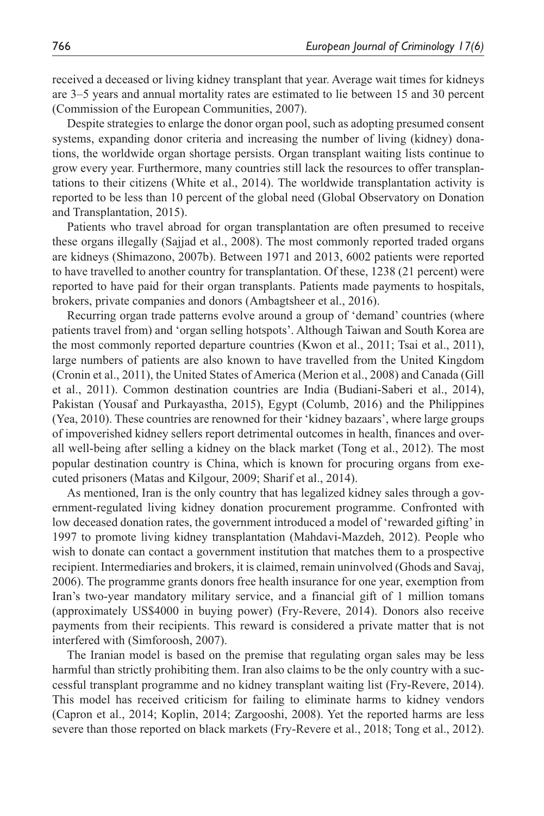received a deceased or living kidney transplant that year. Average wait times for kidneys are 3–5 years and annual mortality rates are estimated to lie between 15 and 30 percent (Commission of the European Communities, 2007).

Despite strategies to enlarge the donor organ pool, such as adopting presumed consent systems, expanding donor criteria and increasing the number of living (kidney) donations, the worldwide organ shortage persists. Organ transplant waiting lists continue to grow every year. Furthermore, many countries still lack the resources to offer transplantations to their citizens (White et al., 2014). The worldwide transplantation activity is reported to be less than 10 percent of the global need (Global Observatory on Donation and Transplantation, 2015).

Patients who travel abroad for organ transplantation are often presumed to receive these organs illegally (Sajjad et al., 2008). The most commonly reported traded organs are kidneys (Shimazono, 2007b). Between 1971 and 2013, 6002 patients were reported to have travelled to another country for transplantation. Of these, 1238 (21 percent) were reported to have paid for their organ transplants. Patients made payments to hospitals, brokers, private companies and donors (Ambagtsheer et al., 2016).

Recurring organ trade patterns evolve around a group of 'demand' countries (where patients travel from) and 'organ selling hotspots'. Although Taiwan and South Korea are the most commonly reported departure countries (Kwon et al., 2011; Tsai et al., 2011), large numbers of patients are also known to have travelled from the United Kingdom (Cronin et al., 2011), the United States of America (Merion et al., 2008) and Canada (Gill et al., 2011). Common destination countries are India (Budiani-Saberi et al., 2014), Pakistan (Yousaf and Purkayastha, 2015), Egypt (Columb, 2016) and the Philippines (Yea, 2010). These countries are renowned for their 'kidney bazaars', where large groups of impoverished kidney sellers report detrimental outcomes in health, finances and overall well-being after selling a kidney on the black market (Tong et al., 2012). The most popular destination country is China, which is known for procuring organs from executed prisoners (Matas and Kilgour, 2009; Sharif et al., 2014).

As mentioned, Iran is the only country that has legalized kidney sales through a government-regulated living kidney donation procurement programme. Confronted with low deceased donation rates, the government introduced a model of 'rewarded gifting' in 1997 to promote living kidney transplantation (Mahdavi-Mazdeh, 2012). People who wish to donate can contact a government institution that matches them to a prospective recipient. Intermediaries and brokers, it is claimed, remain uninvolved (Ghods and Savaj, 2006). The programme grants donors free health insurance for one year, exemption from Iran's two-year mandatory military service, and a financial gift of 1 million tomans (approximately US\$4000 in buying power) (Fry-Revere, 2014). Donors also receive payments from their recipients. This reward is considered a private matter that is not interfered with (Simforoosh, 2007).

The Iranian model is based on the premise that regulating organ sales may be less harmful than strictly prohibiting them. Iran also claims to be the only country with a successful transplant programme and no kidney transplant waiting list (Fry-Revere, 2014). This model has received criticism for failing to eliminate harms to kidney vendors (Capron et al., 2014; Koplin, 2014; Zargooshi, 2008). Yet the reported harms are less severe than those reported on black markets (Fry-Revere et al., 2018; Tong et al., 2012).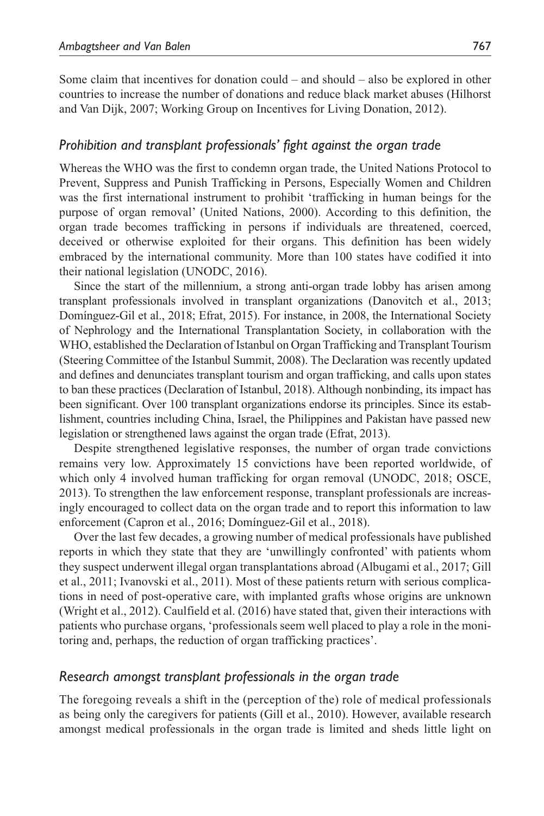Some claim that incentives for donation could – and should – also be explored in other countries to increase the number of donations and reduce black market abuses (Hilhorst and Van Dijk, 2007; Working Group on Incentives for Living Donation, 2012).

#### *Prohibition and transplant professionals' fight against the organ trade*

Whereas the WHO was the first to condemn organ trade, the United Nations Protocol to Prevent, Suppress and Punish Trafficking in Persons, Especially Women and Children was the first international instrument to prohibit 'trafficking in human beings for the purpose of organ removal' (United Nations, 2000). According to this definition, the organ trade becomes trafficking in persons if individuals are threatened, coerced, deceived or otherwise exploited for their organs. This definition has been widely embraced by the international community. More than 100 states have codified it into their national legislation (UNODC, 2016).

Since the start of the millennium, a strong anti-organ trade lobby has arisen among transplant professionals involved in transplant organizations (Danovitch et al., 2013; Domínguez-Gil et al., 2018; Efrat, 2015). For instance, in 2008, the International Society of Nephrology and the International Transplantation Society, in collaboration with the WHO, established the Declaration of Istanbul on Organ Trafficking and Transplant Tourism (Steering Committee of the Istanbul Summit, 2008). The Declaration was recently updated and defines and denunciates transplant tourism and organ trafficking, and calls upon states to ban these practices (Declaration of Istanbul, 2018). Although nonbinding, its impact has been significant. Over 100 transplant organizations endorse its principles. Since its establishment, countries including China, Israel, the Philippines and Pakistan have passed new legislation or strengthened laws against the organ trade (Efrat, 2013).

Despite strengthened legislative responses, the number of organ trade convictions remains very low. Approximately 15 convictions have been reported worldwide, of which only 4 involved human trafficking for organ removal (UNODC, 2018; OSCE, 2013). To strengthen the law enforcement response, transplant professionals are increasingly encouraged to collect data on the organ trade and to report this information to law enforcement (Capron et al., 2016; Domínguez-Gil et al., 2018).

Over the last few decades, a growing number of medical professionals have published reports in which they state that they are 'unwillingly confronted' with patients whom they suspect underwent illegal organ transplantations abroad (Albugami et al., 2017; Gill et al., 2011; Ivanovski et al., 2011). Most of these patients return with serious complications in need of post-operative care, with implanted grafts whose origins are unknown (Wright et al., 2012). Caulfield et al. (2016) have stated that, given their interactions with patients who purchase organs, 'professionals seem well placed to play a role in the monitoring and, perhaps, the reduction of organ trafficking practices'.

#### *Research amongst transplant professionals in the organ trade*

The foregoing reveals a shift in the (perception of the) role of medical professionals as being only the caregivers for patients (Gill et al., 2010). However, available research amongst medical professionals in the organ trade is limited and sheds little light on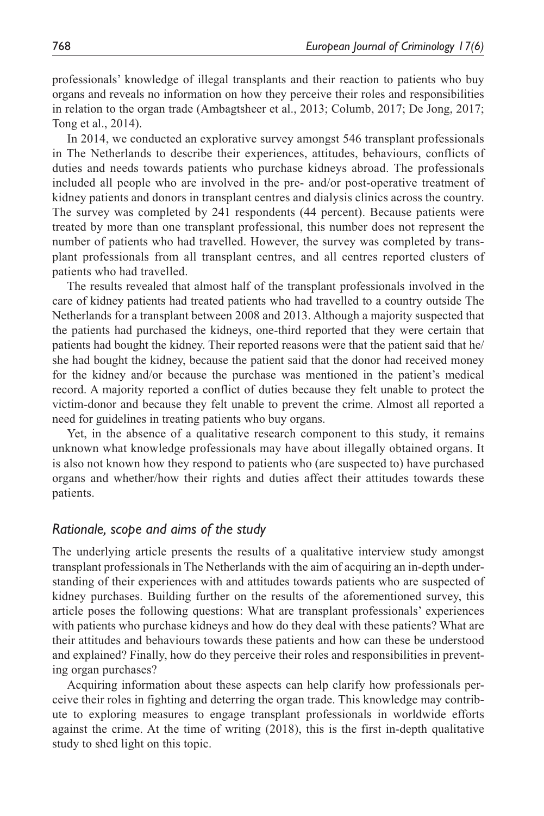professionals' knowledge of illegal transplants and their reaction to patients who buy organs and reveals no information on how they perceive their roles and responsibilities in relation to the organ trade (Ambagtsheer et al., 2013; Columb, 2017; De Jong, 2017; Tong et al., 2014).

In 2014, we conducted an explorative survey amongst 546 transplant professionals in The Netherlands to describe their experiences, attitudes, behaviours, conflicts of duties and needs towards patients who purchase kidneys abroad. The professionals included all people who are involved in the pre- and/or post-operative treatment of kidney patients and donors in transplant centres and dialysis clinics across the country. The survey was completed by 241 respondents (44 percent). Because patients were treated by more than one transplant professional, this number does not represent the number of patients who had travelled. However, the survey was completed by transplant professionals from all transplant centres, and all centres reported clusters of patients who had travelled.

The results revealed that almost half of the transplant professionals involved in the care of kidney patients had treated patients who had travelled to a country outside The Netherlands for a transplant between 2008 and 2013. Although a majority suspected that the patients had purchased the kidneys, one-third reported that they were certain that patients had bought the kidney. Their reported reasons were that the patient said that he/ she had bought the kidney, because the patient said that the donor had received money for the kidney and/or because the purchase was mentioned in the patient's medical record. A majority reported a conflict of duties because they felt unable to protect the victim-donor and because they felt unable to prevent the crime. Almost all reported a need for guidelines in treating patients who buy organs.

Yet, in the absence of a qualitative research component to this study, it remains unknown what knowledge professionals may have about illegally obtained organs. It is also not known how they respond to patients who (are suspected to) have purchased organs and whether/how their rights and duties affect their attitudes towards these patients.

#### *Rationale, scope and aims of the study*

The underlying article presents the results of a qualitative interview study amongst transplant professionals in The Netherlands with the aim of acquiring an in-depth understanding of their experiences with and attitudes towards patients who are suspected of kidney purchases. Building further on the results of the aforementioned survey, this article poses the following questions: What are transplant professionals' experiences with patients who purchase kidneys and how do they deal with these patients? What are their attitudes and behaviours towards these patients and how can these be understood and explained? Finally, how do they perceive their roles and responsibilities in preventing organ purchases?

Acquiring information about these aspects can help clarify how professionals perceive their roles in fighting and deterring the organ trade. This knowledge may contribute to exploring measures to engage transplant professionals in worldwide efforts against the crime. At the time of writing (2018), this is the first in-depth qualitative study to shed light on this topic.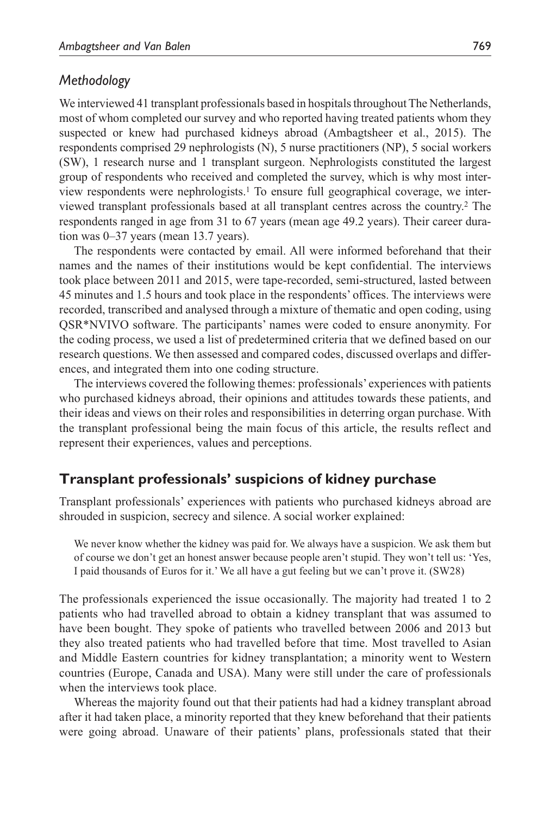#### *Methodology*

We interviewed 41 transplant professionals based in hospitals throughout The Netherlands, most of whom completed our survey and who reported having treated patients whom they suspected or knew had purchased kidneys abroad (Ambagtsheer et al., 2015). The respondents comprised 29 nephrologists (N), 5 nurse practitioners (NP), 5 social workers (SW), 1 research nurse and 1 transplant surgeon. Nephrologists constituted the largest group of respondents who received and completed the survey, which is why most interview respondents were nephrologists.1 To ensure full geographical coverage, we interviewed transplant professionals based at all transplant centres across the country.2 The respondents ranged in age from 31 to 67 years (mean age 49.2 years). Their career duration was 0–37 years (mean 13.7 years).

The respondents were contacted by email. All were informed beforehand that their names and the names of their institutions would be kept confidential. The interviews took place between 2011 and 2015, were tape-recorded, semi-structured, lasted between 45 minutes and 1.5 hours and took place in the respondents' offices. The interviews were recorded, transcribed and analysed through a mixture of thematic and open coding, using QSR\*NVIVO software. The participants' names were coded to ensure anonymity. For the coding process, we used a list of predetermined criteria that we defined based on our research questions. We then assessed and compared codes, discussed overlaps and differences, and integrated them into one coding structure.

The interviews covered the following themes: professionals' experiences with patients who purchased kidneys abroad, their opinions and attitudes towards these patients, and their ideas and views on their roles and responsibilities in deterring organ purchase. With the transplant professional being the main focus of this article, the results reflect and represent their experiences, values and perceptions.

#### **Transplant professionals' suspicions of kidney purchase**

Transplant professionals' experiences with patients who purchased kidneys abroad are shrouded in suspicion, secrecy and silence. A social worker explained:

We never know whether the kidney was paid for. We always have a suspicion. We ask them but of course we don't get an honest answer because people aren't stupid. They won't tell us: 'Yes, I paid thousands of Euros for it.' We all have a gut feeling but we can't prove it. (SW28)

The professionals experienced the issue occasionally. The majority had treated 1 to 2 patients who had travelled abroad to obtain a kidney transplant that was assumed to have been bought. They spoke of patients who travelled between 2006 and 2013 but they also treated patients who had travelled before that time. Most travelled to Asian and Middle Eastern countries for kidney transplantation; a minority went to Western countries (Europe, Canada and USA). Many were still under the care of professionals when the interviews took place.

Whereas the majority found out that their patients had had a kidney transplant abroad after it had taken place, a minority reported that they knew beforehand that their patients were going abroad. Unaware of their patients' plans, professionals stated that their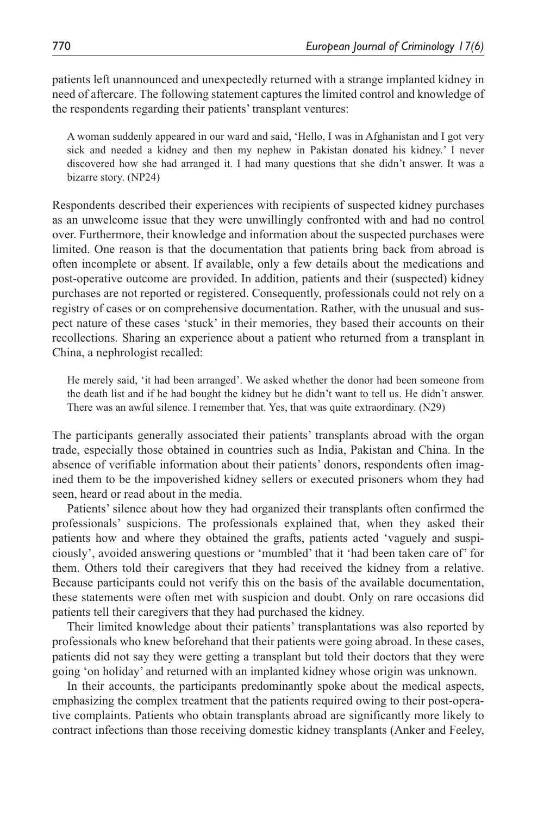patients left unannounced and unexpectedly returned with a strange implanted kidney in need of aftercare. The following statement captures the limited control and knowledge of the respondents regarding their patients' transplant ventures:

A woman suddenly appeared in our ward and said, 'Hello, I was in Afghanistan and I got very sick and needed a kidney and then my nephew in Pakistan donated his kidney.' I never discovered how she had arranged it. I had many questions that she didn't answer. It was a bizarre story. (NP24)

Respondents described their experiences with recipients of suspected kidney purchases as an unwelcome issue that they were unwillingly confronted with and had no control over. Furthermore, their knowledge and information about the suspected purchases were limited. One reason is that the documentation that patients bring back from abroad is often incomplete or absent. If available, only a few details about the medications and post-operative outcome are provided. In addition, patients and their (suspected) kidney purchases are not reported or registered. Consequently, professionals could not rely on a registry of cases or on comprehensive documentation. Rather, with the unusual and suspect nature of these cases 'stuck' in their memories, they based their accounts on their recollections. Sharing an experience about a patient who returned from a transplant in China, a nephrologist recalled:

He merely said, 'it had been arranged'. We asked whether the donor had been someone from the death list and if he had bought the kidney but he didn't want to tell us. He didn't answer. There was an awful silence. I remember that. Yes, that was quite extraordinary. (N29)

The participants generally associated their patients' transplants abroad with the organ trade, especially those obtained in countries such as India, Pakistan and China. In the absence of verifiable information about their patients' donors, respondents often imagined them to be the impoverished kidney sellers or executed prisoners whom they had seen, heard or read about in the media.

Patients' silence about how they had organized their transplants often confirmed the professionals' suspicions. The professionals explained that, when they asked their patients how and where they obtained the grafts, patients acted 'vaguely and suspiciously', avoided answering questions or 'mumbled' that it 'had been taken care of' for them. Others told their caregivers that they had received the kidney from a relative. Because participants could not verify this on the basis of the available documentation, these statements were often met with suspicion and doubt. Only on rare occasions did patients tell their caregivers that they had purchased the kidney.

Their limited knowledge about their patients' transplantations was also reported by professionals who knew beforehand that their patients were going abroad. In these cases, patients did not say they were getting a transplant but told their doctors that they were going 'on holiday' and returned with an implanted kidney whose origin was unknown.

In their accounts, the participants predominantly spoke about the medical aspects, emphasizing the complex treatment that the patients required owing to their post-operative complaints. Patients who obtain transplants abroad are significantly more likely to contract infections than those receiving domestic kidney transplants (Anker and Feeley,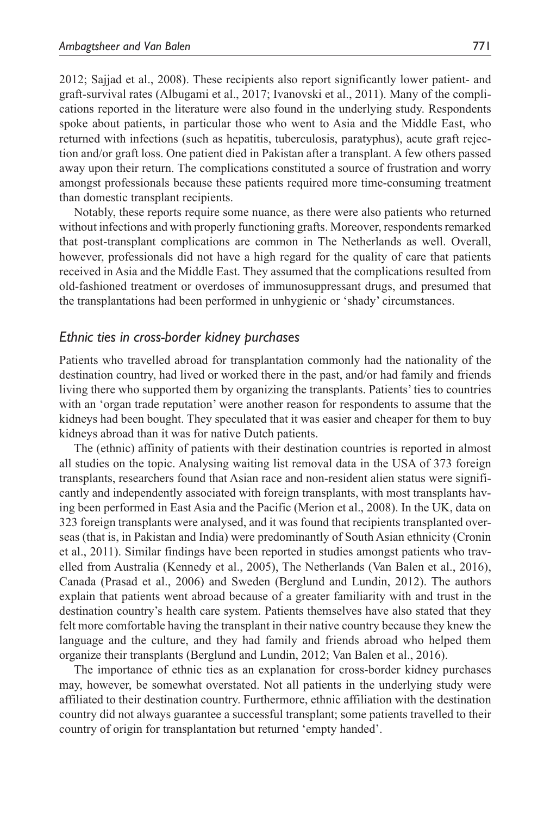2012; Sajjad et al., 2008). These recipients also report significantly lower patient- and graft-survival rates (Albugami et al., 2017; Ivanovski et al., 2011). Many of the complications reported in the literature were also found in the underlying study. Respondents spoke about patients, in particular those who went to Asia and the Middle East, who returned with infections (such as hepatitis, tuberculosis, paratyphus), acute graft rejection and/or graft loss. One patient died in Pakistan after a transplant. A few others passed away upon their return. The complications constituted a source of frustration and worry amongst professionals because these patients required more time-consuming treatment than domestic transplant recipients.

Notably, these reports require some nuance, as there were also patients who returned without infections and with properly functioning grafts. Moreover, respondents remarked that post-transplant complications are common in The Netherlands as well. Overall, however, professionals did not have a high regard for the quality of care that patients received in Asia and the Middle East. They assumed that the complications resulted from old-fashioned treatment or overdoses of immunosuppressant drugs, and presumed that the transplantations had been performed in unhygienic or 'shady' circumstances.

#### *Ethnic ties in cross-border kidney purchases*

Patients who travelled abroad for transplantation commonly had the nationality of the destination country, had lived or worked there in the past, and/or had family and friends living there who supported them by organizing the transplants. Patients' ties to countries with an 'organ trade reputation' were another reason for respondents to assume that the kidneys had been bought. They speculated that it was easier and cheaper for them to buy kidneys abroad than it was for native Dutch patients.

The (ethnic) affinity of patients with their destination countries is reported in almost all studies on the topic. Analysing waiting list removal data in the USA of 373 foreign transplants, researchers found that Asian race and non-resident alien status were significantly and independently associated with foreign transplants, with most transplants having been performed in East Asia and the Pacific (Merion et al., 2008). In the UK, data on 323 foreign transplants were analysed, and it was found that recipients transplanted overseas (that is, in Pakistan and India) were predominantly of South Asian ethnicity (Cronin et al., 2011). Similar findings have been reported in studies amongst patients who travelled from Australia (Kennedy et al., 2005), The Netherlands (Van Balen et al., 2016), Canada (Prasad et al., 2006) and Sweden (Berglund and Lundin, 2012). The authors explain that patients went abroad because of a greater familiarity with and trust in the destination country's health care system. Patients themselves have also stated that they felt more comfortable having the transplant in their native country because they knew the language and the culture, and they had family and friends abroad who helped them organize their transplants (Berglund and Lundin, 2012; Van Balen et al., 2016).

The importance of ethnic ties as an explanation for cross-border kidney purchases may, however, be somewhat overstated. Not all patients in the underlying study were affiliated to their destination country. Furthermore, ethnic affiliation with the destination country did not always guarantee a successful transplant; some patients travelled to their country of origin for transplantation but returned 'empty handed'.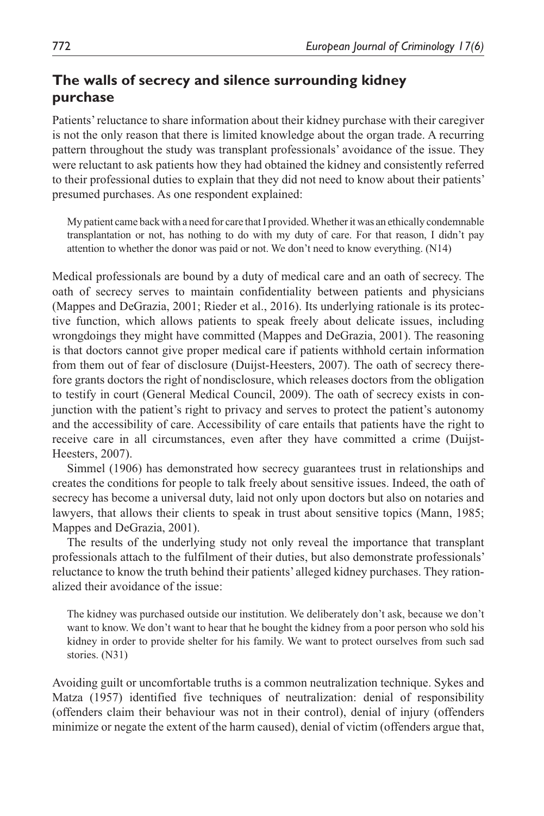## **The walls of secrecy and silence surrounding kidney purchase**

Patients' reluctance to share information about their kidney purchase with their caregiver is not the only reason that there is limited knowledge about the organ trade. A recurring pattern throughout the study was transplant professionals' avoidance of the issue. They were reluctant to ask patients how they had obtained the kidney and consistently referred to their professional duties to explain that they did not need to know about their patients' presumed purchases. As one respondent explained:

My patient came back with a need for care that I provided. Whether it was an ethically condemnable transplantation or not, has nothing to do with my duty of care. For that reason, I didn't pay attention to whether the donor was paid or not. We don't need to know everything. (N14)

Medical professionals are bound by a duty of medical care and an oath of secrecy. The oath of secrecy serves to maintain confidentiality between patients and physicians (Mappes and DeGrazia, 2001; Rieder et al., 2016). Its underlying rationale is its protective function, which allows patients to speak freely about delicate issues, including wrongdoings they might have committed (Mappes and DeGrazia, 2001). The reasoning is that doctors cannot give proper medical care if patients withhold certain information from them out of fear of disclosure (Duijst-Heesters, 2007). The oath of secrecy therefore grants doctors the right of nondisclosure, which releases doctors from the obligation to testify in court (General Medical Council, 2009). The oath of secrecy exists in conjunction with the patient's right to privacy and serves to protect the patient's autonomy and the accessibility of care. Accessibility of care entails that patients have the right to receive care in all circumstances, even after they have committed a crime (Duijst-Heesters, 2007).

Simmel (1906) has demonstrated how secrecy guarantees trust in relationships and creates the conditions for people to talk freely about sensitive issues. Indeed, the oath of secrecy has become a universal duty, laid not only upon doctors but also on notaries and lawyers, that allows their clients to speak in trust about sensitive topics (Mann, 1985; Mappes and DeGrazia, 2001).

The results of the underlying study not only reveal the importance that transplant professionals attach to the fulfilment of their duties, but also demonstrate professionals' reluctance to know the truth behind their patients' alleged kidney purchases. They rationalized their avoidance of the issue:

The kidney was purchased outside our institution. We deliberately don't ask, because we don't want to know. We don't want to hear that he bought the kidney from a poor person who sold his kidney in order to provide shelter for his family. We want to protect ourselves from such sad stories. (N31)

Avoiding guilt or uncomfortable truths is a common neutralization technique. Sykes and Matza (1957) identified five techniques of neutralization: denial of responsibility (offenders claim their behaviour was not in their control), denial of injury (offenders minimize or negate the extent of the harm caused), denial of victim (offenders argue that,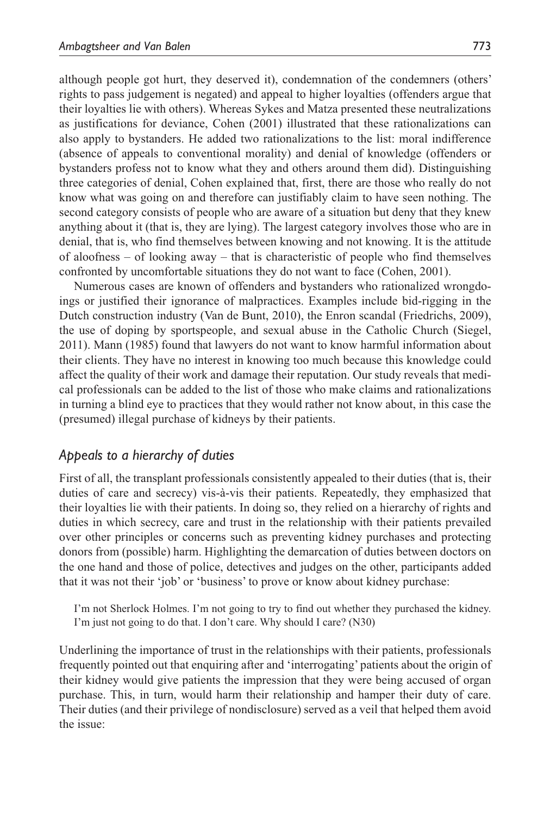although people got hurt, they deserved it), condemnation of the condemners (others' rights to pass judgement is negated) and appeal to higher loyalties (offenders argue that their loyalties lie with others). Whereas Sykes and Matza presented these neutralizations as justifications for deviance, Cohen (2001) illustrated that these rationalizations can also apply to bystanders. He added two rationalizations to the list: moral indifference (absence of appeals to conventional morality) and denial of knowledge (offenders or bystanders profess not to know what they and others around them did). Distinguishing three categories of denial, Cohen explained that, first, there are those who really do not know what was going on and therefore can justifiably claim to have seen nothing. The second category consists of people who are aware of a situation but deny that they knew anything about it (that is, they are lying). The largest category involves those who are in denial, that is, who find themselves between knowing and not knowing. It is the attitude of aloofness – of looking away – that is characteristic of people who find themselves confronted by uncomfortable situations they do not want to face (Cohen, 2001).

Numerous cases are known of offenders and bystanders who rationalized wrongdoings or justified their ignorance of malpractices. Examples include bid-rigging in the Dutch construction industry (Van de Bunt, 2010), the Enron scandal (Friedrichs, 2009), the use of doping by sportspeople, and sexual abuse in the Catholic Church (Siegel, 2011). Mann (1985) found that lawyers do not want to know harmful information about their clients. They have no interest in knowing too much because this knowledge could affect the quality of their work and damage their reputation. Our study reveals that medical professionals can be added to the list of those who make claims and rationalizations in turning a blind eye to practices that they would rather not know about, in this case the (presumed) illegal purchase of kidneys by their patients.

#### *Appeals to a hierarchy of duties*

First of all, the transplant professionals consistently appealed to their duties (that is, their duties of care and secrecy) vis-à-vis their patients. Repeatedly, they emphasized that their loyalties lie with their patients. In doing so, they relied on a hierarchy of rights and duties in which secrecy, care and trust in the relationship with their patients prevailed over other principles or concerns such as preventing kidney purchases and protecting donors from (possible) harm. Highlighting the demarcation of duties between doctors on the one hand and those of police, detectives and judges on the other, participants added that it was not their 'job' or 'business' to prove or know about kidney purchase:

I'm not Sherlock Holmes. I'm not going to try to find out whether they purchased the kidney. I'm just not going to do that. I don't care. Why should I care? (N30)

Underlining the importance of trust in the relationships with their patients, professionals frequently pointed out that enquiring after and 'interrogating' patients about the origin of their kidney would give patients the impression that they were being accused of organ purchase. This, in turn, would harm their relationship and hamper their duty of care. Their duties (and their privilege of nondisclosure) served as a veil that helped them avoid the issue: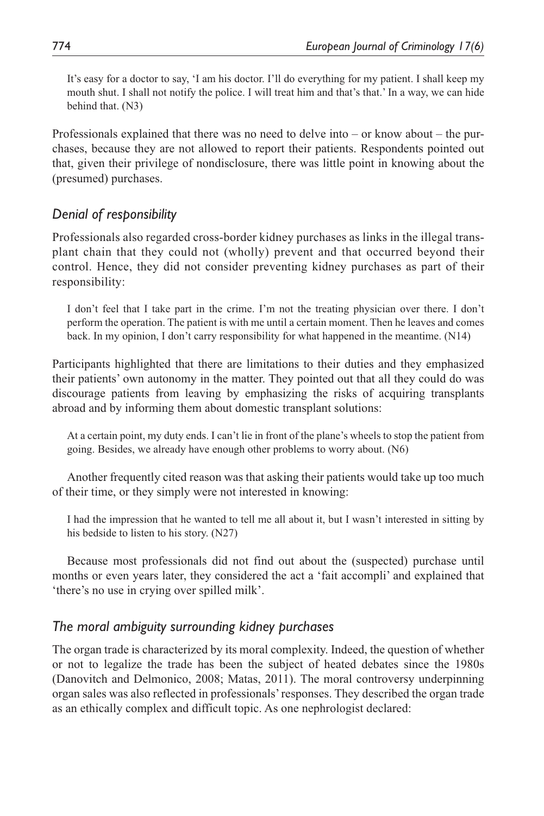It's easy for a doctor to say, 'I am his doctor. I'll do everything for my patient. I shall keep my mouth shut. I shall not notify the police. I will treat him and that's that.' In a way, we can hide behind that. (N3)

Professionals explained that there was no need to delve into – or know about – the purchases, because they are not allowed to report their patients. Respondents pointed out that, given their privilege of nondisclosure, there was little point in knowing about the (presumed) purchases.

## *Denial of responsibility*

Professionals also regarded cross-border kidney purchases as links in the illegal transplant chain that they could not (wholly) prevent and that occurred beyond their control. Hence, they did not consider preventing kidney purchases as part of their responsibility:

I don't feel that I take part in the crime. I'm not the treating physician over there. I don't perform the operation. The patient is with me until a certain moment. Then he leaves and comes back. In my opinion, I don't carry responsibility for what happened in the meantime. (N14)

Participants highlighted that there are limitations to their duties and they emphasized their patients' own autonomy in the matter. They pointed out that all they could do was discourage patients from leaving by emphasizing the risks of acquiring transplants abroad and by informing them about domestic transplant solutions:

At a certain point, my duty ends. I can't lie in front of the plane's wheels to stop the patient from going. Besides, we already have enough other problems to worry about. (N6)

Another frequently cited reason was that asking their patients would take up too much of their time, or they simply were not interested in knowing:

I had the impression that he wanted to tell me all about it, but I wasn't interested in sitting by his bedside to listen to his story. (N27)

Because most professionals did not find out about the (suspected) purchase until months or even years later, they considered the act a 'fait accompli' and explained that 'there's no use in crying over spilled milk'.

## *The moral ambiguity surrounding kidney purchases*

The organ trade is characterized by its moral complexity. Indeed, the question of whether or not to legalize the trade has been the subject of heated debates since the 1980s (Danovitch and Delmonico, 2008; Matas, 2011). The moral controversy underpinning organ sales was also reflected in professionals' responses. They described the organ trade as an ethically complex and difficult topic. As one nephrologist declared: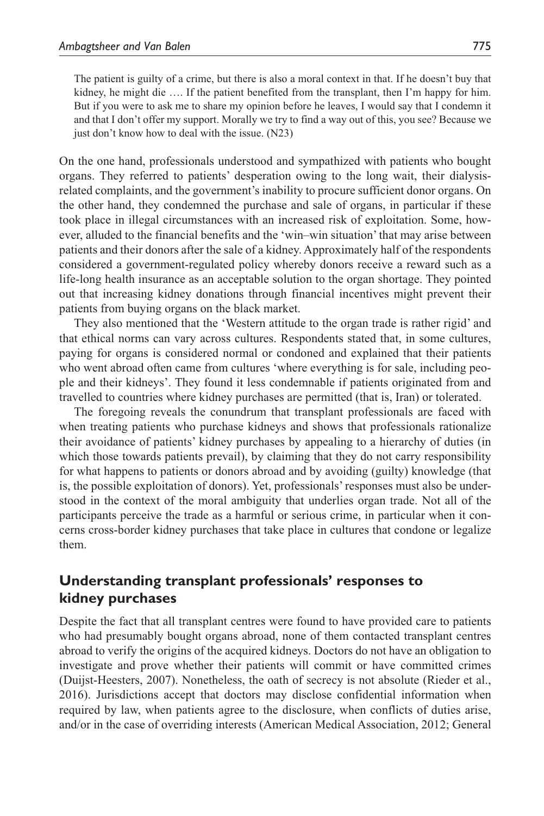The patient is guilty of a crime, but there is also a moral context in that. If he doesn't buy that kidney, he might die .... If the patient benefited from the transplant, then I'm happy for him. But if you were to ask me to share my opinion before he leaves, I would say that I condemn it and that I don't offer my support. Morally we try to find a way out of this, you see? Because we just don't know how to deal with the issue. (N23)

On the one hand, professionals understood and sympathized with patients who bought organs. They referred to patients' desperation owing to the long wait, their dialysisrelated complaints, and the government's inability to procure sufficient donor organs. On the other hand, they condemned the purchase and sale of organs, in particular if these took place in illegal circumstances with an increased risk of exploitation. Some, however, alluded to the financial benefits and the 'win–win situation' that may arise between patients and their donors after the sale of a kidney. Approximately half of the respondents considered a government-regulated policy whereby donors receive a reward such as a life-long health insurance as an acceptable solution to the organ shortage. They pointed out that increasing kidney donations through financial incentives might prevent their patients from buying organs on the black market.

They also mentioned that the 'Western attitude to the organ trade is rather rigid' and that ethical norms can vary across cultures. Respondents stated that, in some cultures, paying for organs is considered normal or condoned and explained that their patients who went abroad often came from cultures 'where everything is for sale, including people and their kidneys'. They found it less condemnable if patients originated from and travelled to countries where kidney purchases are permitted (that is, Iran) or tolerated.

The foregoing reveals the conundrum that transplant professionals are faced with when treating patients who purchase kidneys and shows that professionals rationalize their avoidance of patients' kidney purchases by appealing to a hierarchy of duties (in which those towards patients prevail), by claiming that they do not carry responsibility for what happens to patients or donors abroad and by avoiding (guilty) knowledge (that is, the possible exploitation of donors). Yet, professionals' responses must also be understood in the context of the moral ambiguity that underlies organ trade. Not all of the participants perceive the trade as a harmful or serious crime, in particular when it concerns cross-border kidney purchases that take place in cultures that condone or legalize them.

## **Understanding transplant professionals' responses to kidney purchases**

Despite the fact that all transplant centres were found to have provided care to patients who had presumably bought organs abroad, none of them contacted transplant centres abroad to verify the origins of the acquired kidneys. Doctors do not have an obligation to investigate and prove whether their patients will commit or have committed crimes (Duijst-Heesters, 2007). Nonetheless, the oath of secrecy is not absolute (Rieder et al., 2016). Jurisdictions accept that doctors may disclose confidential information when required by law, when patients agree to the disclosure, when conflicts of duties arise, and/or in the case of overriding interests (American Medical Association, 2012; General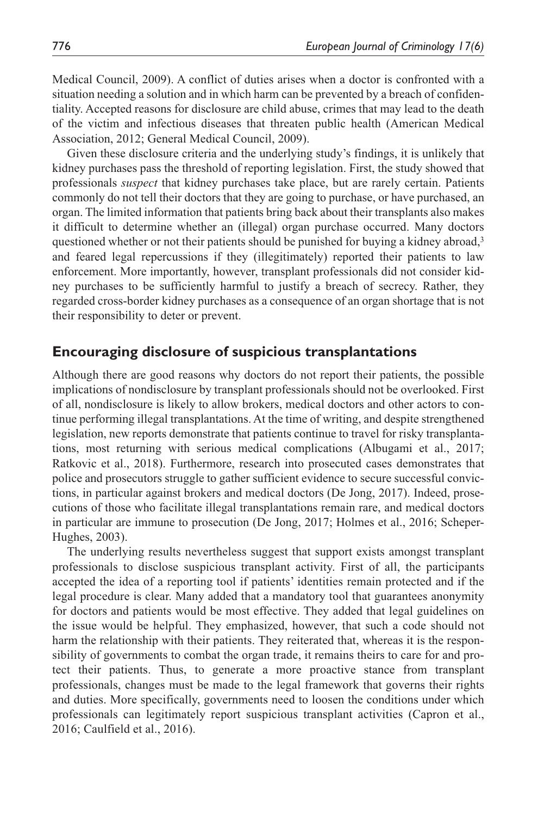Medical Council, 2009). A conflict of duties arises when a doctor is confronted with a situation needing a solution and in which harm can be prevented by a breach of confidentiality. Accepted reasons for disclosure are child abuse, crimes that may lead to the death of the victim and infectious diseases that threaten public health (American Medical Association, 2012; General Medical Council, 2009).

Given these disclosure criteria and the underlying study's findings, it is unlikely that kidney purchases pass the threshold of reporting legislation. First, the study showed that professionals *suspect* that kidney purchases take place, but are rarely certain. Patients commonly do not tell their doctors that they are going to purchase, or have purchased, an organ. The limited information that patients bring back about their transplants also makes it difficult to determine whether an (illegal) organ purchase occurred. Many doctors questioned whether or not their patients should be punished for buying a kidney abroad,<sup>3</sup> and feared legal repercussions if they (illegitimately) reported their patients to law enforcement. More importantly, however, transplant professionals did not consider kidney purchases to be sufficiently harmful to justify a breach of secrecy. Rather, they regarded cross-border kidney purchases as a consequence of an organ shortage that is not their responsibility to deter or prevent.

## **Encouraging disclosure of suspicious transplantations**

Although there are good reasons why doctors do not report their patients, the possible implications of nondisclosure by transplant professionals should not be overlooked. First of all, nondisclosure is likely to allow brokers, medical doctors and other actors to continue performing illegal transplantations. At the time of writing, and despite strengthened legislation, new reports demonstrate that patients continue to travel for risky transplantations, most returning with serious medical complications (Albugami et al., 2017; Ratkovic et al., 2018). Furthermore, research into prosecuted cases demonstrates that police and prosecutors struggle to gather sufficient evidence to secure successful convictions, in particular against brokers and medical doctors (De Jong, 2017). Indeed, prosecutions of those who facilitate illegal transplantations remain rare, and medical doctors in particular are immune to prosecution (De Jong, 2017; Holmes et al., 2016; Scheper-Hughes, 2003).

The underlying results nevertheless suggest that support exists amongst transplant professionals to disclose suspicious transplant activity. First of all, the participants accepted the idea of a reporting tool if patients' identities remain protected and if the legal procedure is clear. Many added that a mandatory tool that guarantees anonymity for doctors and patients would be most effective. They added that legal guidelines on the issue would be helpful. They emphasized, however, that such a code should not harm the relationship with their patients. They reiterated that, whereas it is the responsibility of governments to combat the organ trade, it remains theirs to care for and protect their patients. Thus, to generate a more proactive stance from transplant professionals, changes must be made to the legal framework that governs their rights and duties. More specifically, governments need to loosen the conditions under which professionals can legitimately report suspicious transplant activities (Capron et al., 2016; Caulfield et al., 2016).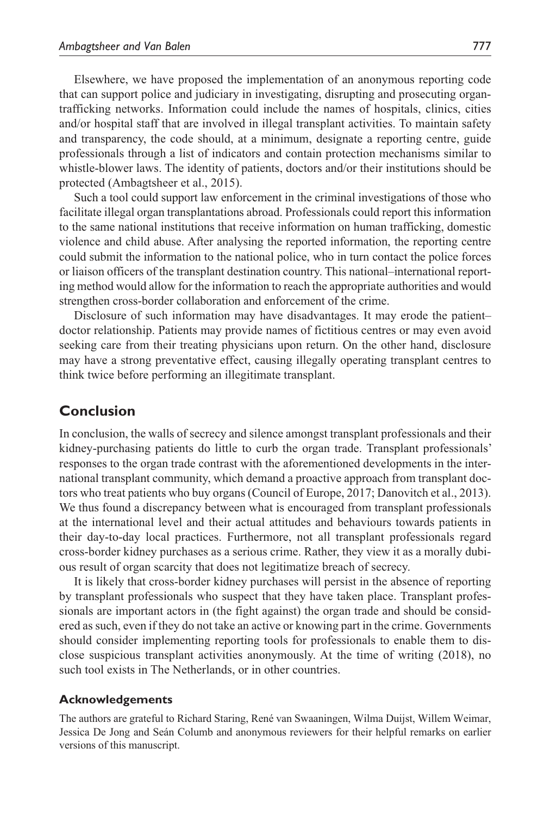Elsewhere, we have proposed the implementation of an anonymous reporting code that can support police and judiciary in investigating, disrupting and prosecuting organtrafficking networks. Information could include the names of hospitals, clinics, cities and/or hospital staff that are involved in illegal transplant activities. To maintain safety and transparency, the code should, at a minimum, designate a reporting centre, guide professionals through a list of indicators and contain protection mechanisms similar to whistle-blower laws. The identity of patients, doctors and/or their institutions should be protected (Ambagtsheer et al., 2015).

Such a tool could support law enforcement in the criminal investigations of those who facilitate illegal organ transplantations abroad. Professionals could report this information to the same national institutions that receive information on human trafficking, domestic violence and child abuse. After analysing the reported information, the reporting centre could submit the information to the national police, who in turn contact the police forces or liaison officers of the transplant destination country. This national–international reporting method would allow for the information to reach the appropriate authorities and would strengthen cross-border collaboration and enforcement of the crime.

Disclosure of such information may have disadvantages. It may erode the patient– doctor relationship. Patients may provide names of fictitious centres or may even avoid seeking care from their treating physicians upon return. On the other hand, disclosure may have a strong preventative effect, causing illegally operating transplant centres to think twice before performing an illegitimate transplant.

#### **Conclusion**

In conclusion, the walls of secrecy and silence amongst transplant professionals and their kidney-purchasing patients do little to curb the organ trade. Transplant professionals' responses to the organ trade contrast with the aforementioned developments in the international transplant community, which demand a proactive approach from transplant doctors who treat patients who buy organs (Council of Europe, 2017; Danovitch et al., 2013). We thus found a discrepancy between what is encouraged from transplant professionals at the international level and their actual attitudes and behaviours towards patients in their day-to-day local practices. Furthermore, not all transplant professionals regard cross-border kidney purchases as a serious crime. Rather, they view it as a morally dubious result of organ scarcity that does not legitimatize breach of secrecy.

It is likely that cross-border kidney purchases will persist in the absence of reporting by transplant professionals who suspect that they have taken place. Transplant professionals are important actors in (the fight against) the organ trade and should be considered as such, even if they do not take an active or knowing part in the crime. Governments should consider implementing reporting tools for professionals to enable them to disclose suspicious transplant activities anonymously. At the time of writing (2018), no such tool exists in The Netherlands, or in other countries.

#### **Acknowledgements**

The authors are grateful to Richard Staring, René van Swaaningen, Wilma Duijst, Willem Weimar, Jessica De Jong and Seán Columb and anonymous reviewers for their helpful remarks on earlier versions of this manuscript.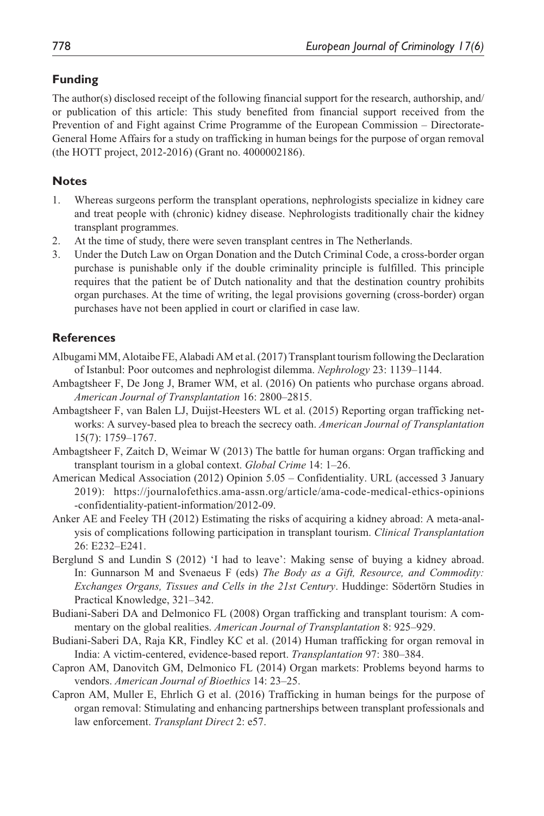#### **Funding**

The author(s) disclosed receipt of the following financial support for the research, authorship, and/ or publication of this article: This study benefited from financial support received from the Prevention of and Fight against Crime Programme of the European Commission – Directorate-General Home Affairs for a study on trafficking in human beings for the purpose of organ removal (the HOTT project, 2012-2016) (Grant no. 4000002186).

### **Notes**

- 1. Whereas surgeons perform the transplant operations, nephrologists specialize in kidney care and treat people with (chronic) kidney disease. Nephrologists traditionally chair the kidney transplant programmes.
- 2. At the time of study, there were seven transplant centres in The Netherlands.
- 3. Under the Dutch Law on Organ Donation and the Dutch Criminal Code, a cross-border organ purchase is punishable only if the double criminality principle is fulfilled. This principle requires that the patient be of Dutch nationality and that the destination country prohibits organ purchases. At the time of writing, the legal provisions governing (cross-border) organ purchases have not been applied in court or clarified in case law.

## **References**

- Albugami MM, Alotaibe FE, Alabadi AM et al. (2017) Transplant tourism following the Declaration of Istanbul: Poor outcomes and nephrologist dilemma. *Nephrology* 23: 1139–1144.
- Ambagtsheer F, De Jong J, Bramer WM, et al. (2016) On patients who purchase organs abroad. *American Journal of Transplantation* 16: 2800–2815.
- Ambagtsheer F, van Balen LJ, Duijst-Heesters WL et al. (2015) Reporting organ trafficking networks: A survey-based plea to breach the secrecy oath. *American Journal of Transplantation* 15(7): 1759–1767.
- Ambagtsheer F, Zaitch D, Weimar W (2013) The battle for human organs: Organ trafficking and transplant tourism in a global context. *Global Crime* 14: 1–26.
- American Medical Association (2012) Opinion 5.05 Confidentiality. URL (accessed 3 January 2019): [https://journalofethics.ama-assn.org/article/ama-code-medical-ethics-opinions](https://journalofethics.ama-assn.org/article/ama-code-medical-ethics-opinions-confidentiality-patient-information/2012-09) [-confidentiality-patient-information/2012-09](https://journalofethics.ama-assn.org/article/ama-code-medical-ethics-opinions-confidentiality-patient-information/2012-09).
- Anker AE and Feeley TH (2012) Estimating the risks of acquiring a kidney abroad: A meta-analysis of complications following participation in transplant tourism. *Clinical Transplantation* 26: E232–E241.
- Berglund S and Lundin S (2012) 'I had to leave': Making sense of buying a kidney abroad. In: Gunnarson M and Svenaeus F (eds) *The Body as a Gift, Resource, and Commodity: Exchanges Organs, Tissues and Cells in the 21st Century*. Huddinge: Södertörn Studies in Practical Knowledge, 321–342.
- Budiani-Saberi DA and Delmonico FL (2008) Organ trafficking and transplant tourism: A commentary on the global realities. *American Journal of Transplantation* 8: 925–929.
- Budiani-Saberi DA, Raja KR, Findley KC et al. (2014) Human trafficking for organ removal in India: A victim-centered, evidence-based report. *Transplantation* 97: 380–384.
- Capron AM, Danovitch GM, Delmonico FL (2014) Organ markets: Problems beyond harms to vendors. *American Journal of Bioethics* 14: 23–25.
- Capron AM, Muller E, Ehrlich G et al. (2016) Trafficking in human beings for the purpose of organ removal: Stimulating and enhancing partnerships between transplant professionals and law enforcement. *Transplant Direct* 2: e57.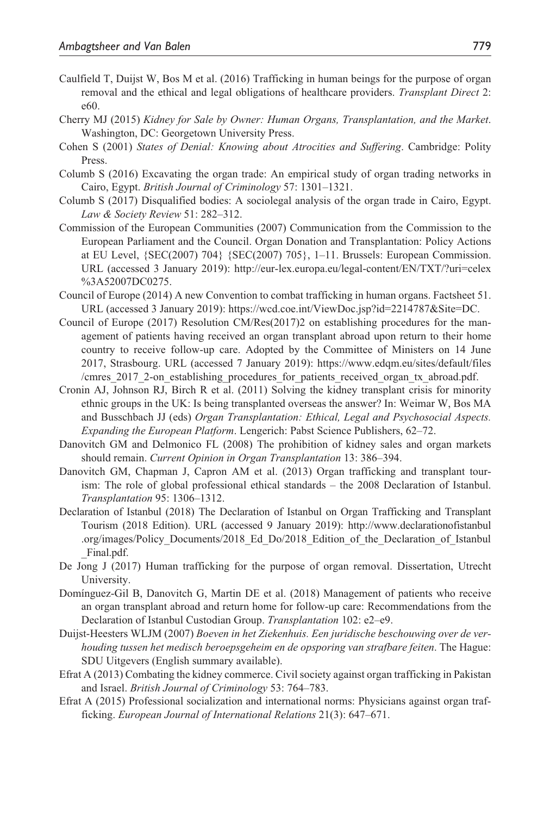- Caulfield T, Duijst W, Bos M et al. (2016) Trafficking in human beings for the purpose of organ removal and the ethical and legal obligations of healthcare providers. *Transplant Direct* 2: e60.
- Cherry MJ (2015) *Kidney for Sale by Owner: Human Organs, Transplantation, and the Market*. Washington, DC: Georgetown University Press.
- Cohen S (2001) *States of Denial: Knowing about Atrocities and Suffering*. Cambridge: Polity Press.
- Columb S (2016) Excavating the organ trade: An empirical study of organ trading networks in Cairo, Egypt. *British Journal of Criminology* 57: 1301–1321.
- Columb S (2017) Disqualified bodies: A sociolegal analysis of the organ trade in Cairo, Egypt. *Law & Society Review* 51: 282–312.
- Commission of the European Communities (2007) Communication from the Commission to the European Parliament and the Council. Organ Donation and Transplantation: Policy Actions at EU Level, {SEC(2007) 704} {SEC(2007) 705}, 1–11. Brussels: European Commission. URL (accessed 3 January 2019): [http://eur-lex.europa.eu/legal-content/EN/TXT/?uri=celex](http://eur-lex.europa.eu/legal-content/EN/TXT/?uri=celex%3A52007DC0275) [%3A52007DC0275.](http://eur-lex.europa.eu/legal-content/EN/TXT/?uri=celex%3A52007DC0275)
- Council of Europe (2014) A new Convention to combat trafficking in human organs. Factsheet 51. URL (accessed 3 January 2019): <https://wcd.coe.int/ViewDoc.jsp?id=2214787&Site=DC>.
- Council of Europe (2017) Resolution CM/Res(2017)2 on establishing procedures for the management of patients having received an organ transplant abroad upon return to their home country to receive follow-up care. Adopted by the Committee of Ministers on 14 June 2017, Strasbourg. URL (accessed 7 January 2019): [https://www.edqm.eu/sites/default/files](https://www.edqm.eu/sites/default/files/cmres_2017_2-on_establishing_procedures_for_patients_received_organ_tx_abroad.pdf) [/cmres\\_2017\\_2-on\\_establishing\\_procedures\\_for\\_patients\\_received\\_organ\\_tx\\_abroad.pdf](https://www.edqm.eu/sites/default/files/cmres_2017_2-on_establishing_procedures_for_patients_received_organ_tx_abroad.pdf).
- Cronin AJ, Johnson RJ, Birch R et al. (2011) Solving the kidney transplant crisis for minority ethnic groups in the UK: Is being transplanted overseas the answer? In: Weimar W, Bos MA and Busschbach JJ (eds) *Organ Transplantation: Ethical, Legal and Psychosocial Aspects. Expanding the European Platform*. Lengerich: Pabst Science Publishers, 62–72.
- Danovitch GM and Delmonico FL (2008) The prohibition of kidney sales and organ markets should remain. *Current Opinion in Organ Transplantation* 13: 386–394.
- Danovitch GM, Chapman J, Capron AM et al. (2013) Organ trafficking and transplant tourism: The role of global professional ethical standards – the 2008 Declaration of Istanbul. *Transplantation* 95: 1306–1312.
- Declaration of Istanbul (2018) The Declaration of Istanbul on Organ Trafficking and Transplant Tourism (2018 Edition). URL (accessed 9 January 2019): [http://www.declarationofistanbul](http://www.declarationofistanbul
.org/images/Policy_Documents/2018_Ed_Do/2018_Edition_of_the_Declaration_of_Istanbul
_Final.pdf.) [.org/images/Policy\\_Documents/2018\\_Ed\\_Do/2018\\_Edition\\_of\\_the\\_Declaration\\_of\\_Istanbul](http://www.declarationofistanbul
.org/images/Policy_Documents/2018_Ed_Do/2018_Edition_of_the_Declaration_of_Istanbul
_Final.pdf.) [\\_Final.pdf.](http://www.declarationofistanbul
.org/images/Policy_Documents/2018_Ed_Do/2018_Edition_of_the_Declaration_of_Istanbul
_Final.pdf.)
- De Jong J (2017) Human trafficking for the purpose of organ removal. Dissertation, Utrecht University.
- Domínguez-Gil B, Danovitch G, Martin DE et al. (2018) Management of patients who receive an organ transplant abroad and return home for follow-up care: Recommendations from the Declaration of Istanbul Custodian Group. *Transplantation* 102: e2–e9.
- Duijst-Heesters WLJM (2007) *Boeven in het Ziekenhuis. Een juridische beschouwing over de verhouding tussen het medisch beroepsgeheim en de opsporing van strafbare feiten*. The Hague: SDU Uitgevers (English summary available).
- Efrat A (2013) Combating the kidney commerce. Civil society against organ trafficking in Pakistan and Israel. *British Journal of Criminology* 53: 764–783.
- Efrat A (2015) Professional socialization and international norms: Physicians against organ trafficking. *European Journal of International Relations* 21(3): 647–671.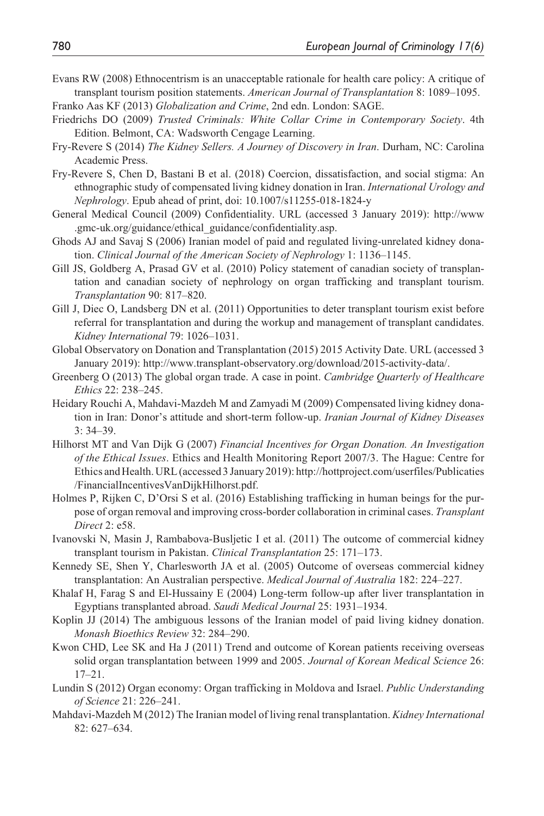- Evans RW (2008) Ethnocentrism is an unacceptable rationale for health care policy: A critique of transplant tourism position statements. *American Journal of Transplantation* 8: 1089–1095.
- Franko Aas KF (2013) *Globalization and Crime*, 2nd edn. London: SAGE.
- Friedrichs DO (2009) *Trusted Criminals: White Collar Crime in Contemporary Society*. 4th Edition. Belmont, CA: Wadsworth Cengage Learning.
- Fry-Revere S (2014) *The Kidney Sellers. A Journey of Discovery in Iran*. Durham, NC: Carolina Academic Press.
- Fry-Revere S, Chen D, Bastani B et al. (2018) Coercion, dissatisfaction, and social stigma: An ethnographic study of compensated living kidney donation in Iran. *International Urology and Nephrology*. Epub ahead of print, doi: 10.1007/s11255-018-1824-y
- General Medical Council (2009) Confidentiality. URL (accessed 3 January 2019): [http://www](http://www.gmc-uk.org/guidance/ethical_guidance/confidentiality.asp) [.gmc-uk.org/guidance/ethical\\_guidance/confidentiality.asp](http://www.gmc-uk.org/guidance/ethical_guidance/confidentiality.asp).
- Ghods AJ and Savaj S (2006) Iranian model of paid and regulated living-unrelated kidney donation. *Clinical Journal of the American Society of Nephrology* 1: 1136–1145.
- Gill JS, Goldberg A, Prasad GV et al. (2010) Policy statement of canadian society of transplantation and canadian society of nephrology on organ trafficking and transplant tourism. *Transplantation* 90: 817–820.
- Gill J, Diec O, Landsberg DN et al. (2011) Opportunities to deter transplant tourism exist before referral for transplantation and during the workup and management of transplant candidates. *Kidney International* 79: 1026–1031.
- Global Observatory on Donation and Transplantation (2015) 2015 Activity Date. URL (accessed 3 January 2019): [http://www.transplant-observatory.org/download/2015-activity-data/.](http://www.transplant-observatory.org/download/2015-activity-data/)
- Greenberg O (2013) The global organ trade. A case in point. *Cambridge Quarterly of Healthcare Ethics* 22: 238–245.
- Heidary Rouchi A, Mahdavi-Mazdeh M and Zamyadi M (2009) Compensated living kidney donation in Iran: Donor's attitude and short-term follow-up. *Iranian Journal of Kidney Diseases* 3: 34–39.
- Hilhorst MT and Van Dijk G (2007) *Financial Incentives for Organ Donation. An Investigation of the Ethical Issues*. Ethics and Health Monitoring Report 2007/3. The Hague: Centre for Ethics and Health. URL (accessed 3 January 2019): [http://hottproject.com/userfiles/Publicaties](http://hottproject.com/userfiles/Publicaties/FinancialIncentivesVanDijkHilhorst.pdf) [/FinancialIncentivesVanDijkHilhorst.pdf](http://hottproject.com/userfiles/Publicaties/FinancialIncentivesVanDijkHilhorst.pdf).
- Holmes P, Rijken C, D'Orsi S et al. (2016) Establishing trafficking in human beings for the purpose of organ removal and improving cross-border collaboration in criminal cases. *Transplant Direct* 2: e58.
- Ivanovski N, Masin J, Rambabova-Busljetic I et al. (2011) The outcome of commercial kidney transplant tourism in Pakistan. *Clinical Transplantation* 25: 171–173.
- Kennedy SE, Shen Y, Charlesworth JA et al. (2005) Outcome of overseas commercial kidney transplantation: An Australian perspective. *Medical Journal of Australia* 182: 224–227.
- Khalaf H, Farag S and El-Hussainy E (2004) Long-term follow-up after liver transplantation in Egyptians transplanted abroad. *Saudi Medical Journal* 25: 1931–1934.
- Koplin JJ (2014) The ambiguous lessons of the Iranian model of paid living kidney donation. *Monash Bioethics Review* 32: 284–290.
- Kwon CHD, Lee SK and Ha J (2011) Trend and outcome of Korean patients receiving overseas solid organ transplantation between 1999 and 2005. *Journal of Korean Medical Science* 26: 17–21.
- Lundin S (2012) Organ economy: Organ trafficking in Moldova and Israel. *Public Understanding of Science* 21: 226–241.
- Mahdavi-Mazdeh M (2012) The Iranian model of living renal transplantation. *Kidney International* 82: 627–634.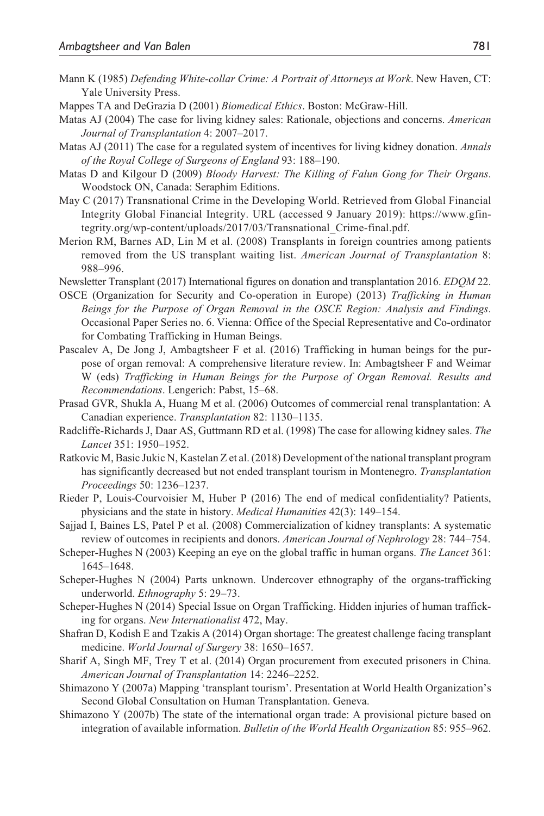- Mann K (1985) *Defending White-collar Crime: A Portrait of Attorneys at Work*. New Haven, CT: Yale University Press.
- Mappes TA and DeGrazia D (2001) *Biomedical Ethics*. Boston: McGraw-Hill.
- Matas AJ (2004) The case for living kidney sales: Rationale, objections and concerns. *American Journal of Transplantation* 4: 2007–2017.
- Matas AJ (2011) The case for a regulated system of incentives for living kidney donation. *Annals of the Royal College of Surgeons of England* 93: 188–190.
- Matas D and Kilgour D (2009) *Bloody Harvest: The Killing of Falun Gong for Their Organs*. Woodstock ON, Canada: Seraphim Editions.
- May C (2017) Transnational Crime in the Developing World. Retrieved from Global Financial Integrity Global Financial Integrity. URL (accessed 9 January 2019): [https://www.gfin](https://www.gfintegrity.org/wp-content/uploads/2017/03/Transnational_Crime-final.pdf)[tegrity.org/wp-content/uploads/2017/03/Transnational\\_Crime-final.pdf](https://www.gfintegrity.org/wp-content/uploads/2017/03/Transnational_Crime-final.pdf).
- Merion RM, Barnes AD, Lin M et al. (2008) Transplants in foreign countries among patients removed from the US transplant waiting list. *American Journal of Transplantation* 8: 988–996.
- Newsletter Transplant (2017) International figures on donation and transplantation 2016. *EDQM* 22.
- OSCE (Organization for Security and Co-operation in Europe) (2013) *Trafficking in Human Beings for the Purpose of Organ Removal in the OSCE Region: Analysis and Findings*. Occasional Paper Series no. 6. Vienna: Office of the Special Representative and Co-ordinator for Combating Trafficking in Human Beings.
- Pascalev A, De Jong J, Ambagtsheer F et al. (2016) Trafficking in human beings for the purpose of organ removal: A comprehensive literature review. In: Ambagtsheer F and Weimar W (eds) *Trafficking in Human Beings for the Purpose of Organ Removal. Results and Recommendations*. Lengerich: Pabst, 15–68.
- Prasad GVR, Shukla A, Huang M et al. (2006) Outcomes of commercial renal transplantation: A Canadian experience. *Transplantation* 82: 1130–1135.
- Radcliffe-Richards J, Daar AS, Guttmann RD et al. (1998) The case for allowing kidney sales. *The Lancet* 351: 1950–1952.
- Ratkovic M, Basic Jukic N, Kastelan Z et al. (2018) Development of the national transplant program has significantly decreased but not ended transplant tourism in Montenegro. *Transplantation Proceedings* 50: 1236–1237.
- Rieder P, Louis-Courvoisier M, Huber P (2016) The end of medical confidentiality? Patients, physicians and the state in history. *Medical Humanities* 42(3): 149–154.
- Sajjad I, Baines LS, Patel P et al. (2008) Commercialization of kidney transplants: A systematic review of outcomes in recipients and donors. *American Journal of Nephrology* 28: 744–754.
- Scheper-Hughes N (2003) Keeping an eye on the global traffic in human organs. *The Lancet* 361: 1645–1648.
- Scheper-Hughes N (2004) Parts unknown. Undercover ethnography of the organs-trafficking underworld. *Ethnography* 5: 29–73.
- Scheper-Hughes N (2014) Special Issue on Organ Trafficking. Hidden injuries of human trafficking for organs. *New Internationalist* 472, May.
- Shafran D, Kodish E and Tzakis A (2014) Organ shortage: The greatest challenge facing transplant medicine. *World Journal of Surgery* 38: 1650–1657.
- Sharif A, Singh MF, Trey T et al. (2014) Organ procurement from executed prisoners in China. *American Journal of Transplantation* 14: 2246–2252.
- Shimazono Y (2007a) Mapping 'transplant tourism'. Presentation at World Health Organization's Second Global Consultation on Human Transplantation. Geneva.
- Shimazono Y (2007b) The state of the international organ trade: A provisional picture based on integration of available information. *Bulletin of the World Health Organization* 85: 955–962.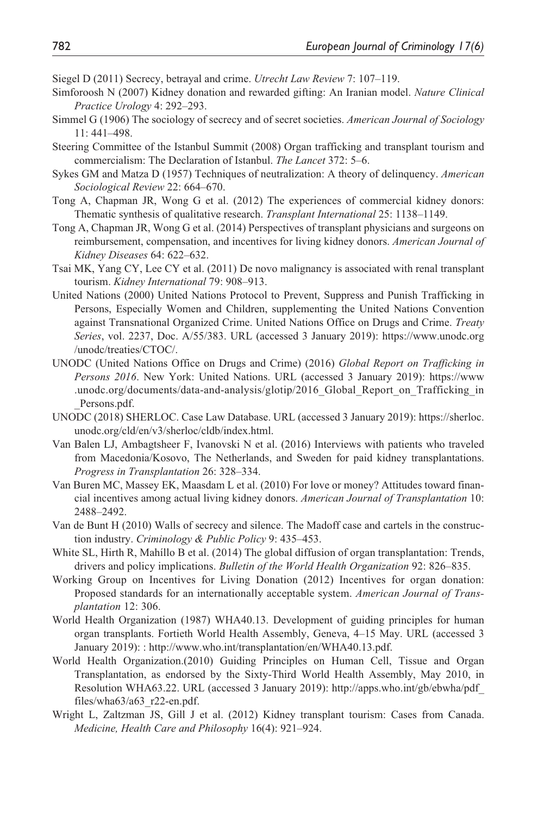- Siegel D (2011) Secrecy, betrayal and crime. *Utrecht Law Review* 7: 107–119.
- Simforoosh N (2007) Kidney donation and rewarded gifting: An Iranian model. *Nature Clinical Practice Urology* 4: 292–293.
- Simmel G (1906) The sociology of secrecy and of secret societies. *American Journal of Sociology* 11: 441–498.
- Steering Committee of the Istanbul Summit (2008) Organ trafficking and transplant tourism and commercialism: The Declaration of Istanbul. *The Lancet* 372: 5–6.
- Sykes GM and Matza D (1957) Techniques of neutralization: A theory of delinquency. *American Sociological Review* 22: 664–670.
- Tong A, Chapman JR, Wong G et al. (2012) The experiences of commercial kidney donors: Thematic synthesis of qualitative research. *Transplant International* 25: 1138–1149.
- Tong A, Chapman JR, Wong G et al. (2014) Perspectives of transplant physicians and surgeons on reimbursement, compensation, and incentives for living kidney donors. *American Journal of Kidney Diseases* 64: 622–632.
- Tsai MK, Yang CY, Lee CY et al. (2011) De novo malignancy is associated with renal transplant tourism. *Kidney International* 79: 908–913.
- United Nations (2000) United Nations Protocol to Prevent, Suppress and Punish Trafficking in Persons, Especially Women and Children, supplementing the United Nations Convention against Transnational Organized Crime. United Nations Office on Drugs and Crime. *Treaty Series*, vol. 2237, Doc. A/55/383. URL (accessed 3 January 2019): [https://www.unodc.org](https://www.unodc.org/unodc/treaties/CTOC/) [/unodc/treaties/CTOC/.](https://www.unodc.org/unodc/treaties/CTOC/)
- UNODC (United Nations Office on Drugs and Crime) (2016) *Global Report on Trafficking in Persons 2016*. New York: United Nations. URL (accessed 3 January 2019): [https://www](https://www.unodc.org/documents/data-and-analysis/glotip/2016_Global_Report_on_Trafficking_in_Persons.pdf) [.unodc.org/documents/data-and-analysis/glotip/2016\\_Global\\_Report\\_on\\_Trafficking\\_in](https://www.unodc.org/documents/data-and-analysis/glotip/2016_Global_Report_on_Trafficking_in_Persons.pdf) [\\_Persons.pdf](https://www.unodc.org/documents/data-and-analysis/glotip/2016_Global_Report_on_Trafficking_in_Persons.pdf).
- UNODC (2018) SHERLOC. Case Law Database. URL (accessed 3 January 2019): [https://sherloc.](https://sherloc.unodc.org/cld/en/v3/sherloc/cldb/index.html) [unodc.org/cld/en/v3/sherloc/cldb/index.html.](https://sherloc.unodc.org/cld/en/v3/sherloc/cldb/index.html)
- Van Balen LJ, Ambagtsheer F, Ivanovski N et al. (2016) Interviews with patients who traveled from Macedonia/Kosovo, The Netherlands, and Sweden for paid kidney transplantations. *Progress in Transplantation* 26: 328–334.
- Van Buren MC, Massey EK, Maasdam L et al. (2010) For love or money? Attitudes toward financial incentives among actual living kidney donors. *American Journal of Transplantation* 10: 2488–2492.
- Van de Bunt H (2010) Walls of secrecy and silence. The Madoff case and cartels in the construction industry. *Criminology & Public Policy* 9: 435–453.
- White SL, Hirth R, Mahíllo B et al. (2014) The global diffusion of organ transplantation: Trends, drivers and policy implications. *Bulletin of the World Health Organization* 92: 826–835.
- Working Group on Incentives for Living Donation (2012) Incentives for organ donation: Proposed standards for an internationally acceptable system. *American Journal of Transplantation* 12: 306.
- World Health Organization (1987) WHA40.13. Development of guiding principles for human organ transplants. Fortieth World Health Assembly, Geneva, 4–15 May. URL (accessed 3 January 2019): :<http://www.who.int/transplantation/en/WHA40.13.pdf>.
- World Health Organization.(2010) Guiding Principles on Human Cell, Tissue and Organ Transplantation, as endorsed by the Sixty-Third World Health Assembly, May 2010, in Resolution WHA63.22. URL (accessed 3 January 2019): [http://apps.who.int/gb/ebwha/pdf\\_](http://apps.who.int/gb/ebwha/pdf_files/wha63/a63_r22-en.pdf) [files/wha63/a63\\_r22-en.pdf](http://apps.who.int/gb/ebwha/pdf_files/wha63/a63_r22-en.pdf).
- Wright L, Zaltzman JS, Gill J et al. (2012) Kidney transplant tourism: Cases from Canada. *Medicine, Health Care and Philosophy* 16(4): 921–924.